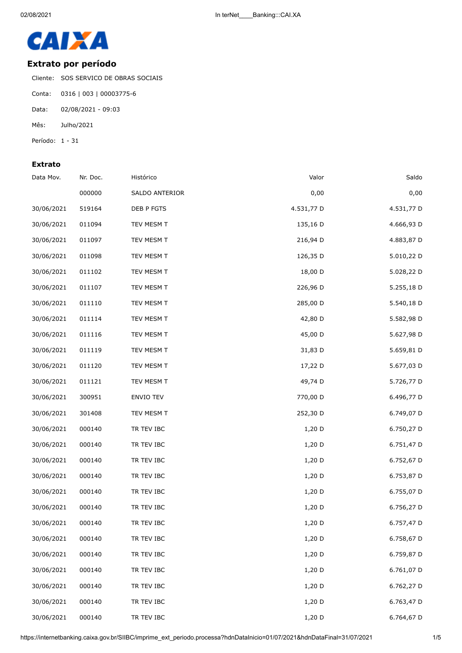

## **Extrato por período**

Cliente: SOS SERVICO DE OBRAS SOCIAIS

- Conta: 0316 | 003 | 00003775-6
- Data: 02/08/2021 09:03
- Mês: Julho/2021
- Período: 1 31

## **Extrato**

| Data Mov.  | Nr. Doc. | Histórico        | Valor      | Saldo      |
|------------|----------|------------------|------------|------------|
|            | 000000   | SALDO ANTERIOR   | 0,00       | 0,00       |
| 30/06/2021 | 519164   | DEB P FGTS       | 4.531,77 D | 4.531,77 D |
| 30/06/2021 | 011094   | TEV MESM T       | 135,16 D   | 4.666,93 D |
| 30/06/2021 | 011097   | TEV MESM T       | 216,94 D   | 4.883,87 D |
| 30/06/2021 | 011098   | TEV MESM T       | 126,35 D   | 5.010,22 D |
| 30/06/2021 | 011102   | TEV MESM T       | 18,00 D    | 5.028,22 D |
| 30/06/2021 | 011107   | TEV MESM T       | 226,96 D   | 5.255,18 D |
| 30/06/2021 | 011110   | TEV MESM T       | 285,00 D   | 5.540,18 D |
| 30/06/2021 | 011114   | TEV MESM T       | 42,80 D    | 5.582,98 D |
| 30/06/2021 | 011116   | TEV MESM T       | 45,00 D    | 5.627,98 D |
| 30/06/2021 | 011119   | TEV MESM T       | 31,83 D    | 5.659,81 D |
| 30/06/2021 | 011120   | TEV MESM T       | 17,22 D    | 5.677,03 D |
| 30/06/2021 | 011121   | TEV MESM T       | 49,74 D    | 5.726,77 D |
| 30/06/2021 | 300951   | <b>ENVIO TEV</b> | 770,00 D   | 6.496,77 D |
| 30/06/2021 | 301408   | TEV MESM T       | 252,30 D   | 6.749,07 D |
| 30/06/2021 | 000140   | TR TEV IBC       | 1,20 D     | 6.750,27 D |
| 30/06/2021 | 000140   | TR TEV IBC       | $1,20$ D   | 6.751,47 D |
| 30/06/2021 | 000140   | TR TEV IBC       | 1,20 D     | 6.752,67 D |
| 30/06/2021 | 000140   | TR TEV IBC       | 1,20 D     | 6.753,87 D |
| 30/06/2021 | 000140   | TR TEV IBC       | 1,20 D     | 6.755,07 D |
| 30/06/2021 | 000140   | TR TEV IBC       | 1,20 D     | 6.756,27 D |
| 30/06/2021 | 000140   | TR TEV IBC       | 1,20 D     | 6.757,47 D |
| 30/06/2021 | 000140   | TR TEV IBC       | $1,20$ D   | 6.758,67 D |
| 30/06/2021 | 000140   | TR TEV IBC       | 1,20 D     | 6.759,87 D |
| 30/06/2021 | 000140   | TR TEV IBC       | 1,20 D     | 6.761,07 D |
| 30/06/2021 | 000140   | TR TEV IBC       | $1,20$ D   | 6.762,27 D |
| 30/06/2021 | 000140   | TR TEV IBC       | 1,20 D     | 6.763,47 D |
| 30/06/2021 | 000140   | TR TEV IBC       | 1,20 D     | 6.764,67 D |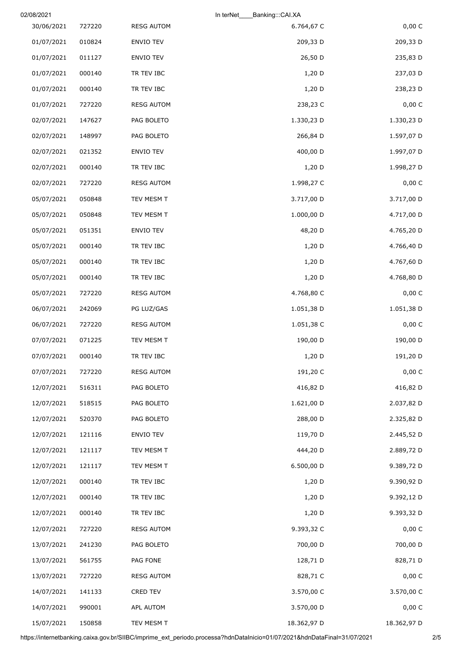| 02/08/2021 |        |                   | In terNet<br>Banking:::CAI.XA |             |
|------------|--------|-------------------|-------------------------------|-------------|
| 30/06/2021 | 727220 | <b>RESG AUTOM</b> | 6.764,67 C                    | 0,00 C      |
| 01/07/2021 | 010824 | ENVIO TEV         | 209,33 D                      | 209,33 D    |
| 01/07/2021 | 011127 | <b>ENVIO TEV</b>  | 26,50 D                       | 235,83 D    |
| 01/07/2021 | 000140 | TR TEV IBC        | $1,20$ D                      | 237,03 D    |
| 01/07/2021 | 000140 | TR TEV IBC        | $1,20$ D                      | 238,23 D    |
| 01/07/2021 | 727220 | <b>RESG AUTOM</b> | 238,23 C                      | 0,00 C      |
| 02/07/2021 | 147627 | PAG BOLETO        | 1.330,23 D                    | 1.330,23 D  |
| 02/07/2021 | 148997 | PAG BOLETO        | 266,84 D                      | 1.597,07 D  |
| 02/07/2021 | 021352 | ENVIO TEV         | 400,00 D                      | 1.997,07 D  |
| 02/07/2021 | 000140 | TR TEV IBC        | $1,20$ D                      | 1.998,27 D  |
| 02/07/2021 | 727220 | <b>RESG AUTOM</b> | 1.998,27 C                    | 0,00C       |
| 05/07/2021 | 050848 | TEV MESM T        | 3.717,00 D                    | 3.717,00 D  |
| 05/07/2021 | 050848 | TEV MESM T        | 1.000,00 D                    | 4.717,00 D  |
| 05/07/2021 | 051351 | ENVIO TEV         | 48,20 D                       | 4.765,20 D  |
| 05/07/2021 | 000140 | TR TEV IBC        | $1,20$ D                      | 4.766,40 D  |
| 05/07/2021 | 000140 | TR TEV IBC        | $1,20$ D                      | 4.767,60 D  |
| 05/07/2021 | 000140 | TR TEV IBC        | 1,20 D                        | 4.768,80 D  |
| 05/07/2021 | 727220 | <b>RESG AUTOM</b> | 4.768,80 C                    | 0,00 C      |
| 06/07/2021 | 242069 | PG LUZ/GAS        | 1.051,38 D                    | 1.051,38 D  |
| 06/07/2021 | 727220 | <b>RESG AUTOM</b> | 1.051,38 C                    | 0,00 C      |
| 07/07/2021 | 071225 | TEV MESM T        | 190,00 D                      | 190,00 D    |
| 07/07/2021 | 000140 | TR TEV IBC        | 1,20 D                        | 191,20 D    |
| 07/07/2021 | 727220 | <b>RESG AUTOM</b> | 191,20 C                      | 0,00 C      |
| 12/07/2021 | 516311 | PAG BOLETO        | 416,82 D                      | 416,82 D    |
| 12/07/2021 | 518515 | PAG BOLETO        | 1.621,00 D                    | 2.037,82 D  |
| 12/07/2021 | 520370 | PAG BOLETO        | 288,00 D                      | 2.325,82 D  |
| 12/07/2021 | 121116 | ENVIO TEV         | 119,70 D                      | 2.445,52 D  |
| 12/07/2021 | 121117 | TEV MESM T        | 444,20 D                      | 2.889,72 D  |
| 12/07/2021 | 121117 | TEV MESM T        | 6.500,00 D                    | 9.389,72 D  |
| 12/07/2021 | 000140 | TR TEV IBC        | $1,20$ D                      | 9.390,92 D  |
| 12/07/2021 | 000140 | TR TEV IBC        | $1,20$ D                      | 9.392,12 D  |
| 12/07/2021 | 000140 | TR TEV IBC        | $1,20$ D                      | 9.393,32 D  |
| 12/07/2021 | 727220 | <b>RESG AUTOM</b> | 9.393,32 C                    | 0,00 C      |
| 13/07/2021 | 241230 | PAG BOLETO        | 700,00 D                      | 700,00 D    |
| 13/07/2021 | 561755 | PAG FONE          | 128,71 D                      | 828,71 D    |
| 13/07/2021 | 727220 | <b>RESG AUTOM</b> | 828,71 C                      | 0,00 C      |
| 14/07/2021 | 141133 | CRED TEV          | 3.570,00 C                    | 3.570,00 C  |
| 14/07/2021 | 990001 | APL AUTOM         | 3.570,00 D                    | 0,00 C      |
| 15/07/2021 | 150858 | TEV MESM T        | 18.362,97 D                   | 18.362,97 D |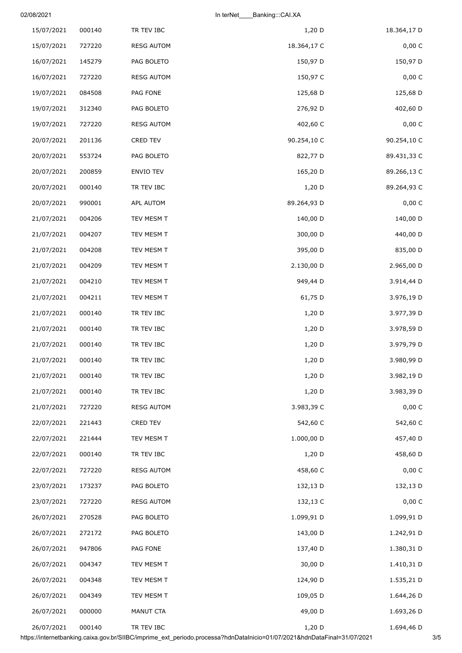02/08/2021 In terNet\_\_\_\_Banking:::CAI.XA

| 18.364,17 D | $1,20$ D    | TR TEV IBC        | 000140 | 15/07/2021 |
|-------------|-------------|-------------------|--------|------------|
| 0,00 C      | 18.364,17 C | <b>RESG AUTOM</b> | 727220 | 15/07/2021 |
| 150,97 D    | 150,97 D    | PAG BOLETO        | 145279 | 16/07/2021 |
| 0,00 C      | 150,97 C    | <b>RESG AUTOM</b> | 727220 | 16/07/2021 |
| 125,68 D    | 125,68 D    | PAG FONE          | 084508 | 19/07/2021 |
| 402,60 D    | 276,92 D    | PAG BOLETO        | 312340 | 19/07/2021 |
| 0,00 C      | 402,60 C    | <b>RESG AUTOM</b> | 727220 | 19/07/2021 |
| 90.254,10 C | 90.254,10 C | CRED TEV          | 201136 | 20/07/2021 |
| 89.431,33 C | 822,77 D    | PAG BOLETO        | 553724 | 20/07/2021 |
| 89.266,13 C | 165,20 D    | ENVIO TEV         | 200859 | 20/07/2021 |
| 89.264,93 C | 1,20 D      | TR TEV IBC        | 000140 | 20/07/2021 |
| 0,00 C      | 89.264,93 D | APL AUTOM         | 990001 | 20/07/2021 |
| 140,00 D    | 140,00 D    | TEV MESM T        | 004206 | 21/07/2021 |
| 440,00 D    | 300,00 D    | TEV MESM T        | 004207 | 21/07/2021 |
| 835,00 D    | 395,00 D    | TEV MESM T        | 004208 | 21/07/2021 |
| 2.965,00 D  | 2.130,00 D  | TEV MESM T        | 004209 | 21/07/2021 |
| 3.914,44 D  | 949,44 D    | TEV MESM T        | 004210 | 21/07/2021 |
| 3.976,19 D  | 61,75 D     | TEV MESM T        | 004211 | 21/07/2021 |
| 3.977,39 D  | $1,20$ D    | TR TEV IBC        | 000140 | 21/07/2021 |
| 3.978,59 D  | $1,20$ D    | TR TEV IBC        | 000140 | 21/07/2021 |
| 3.979,79 D  | $1,20$ D    | TR TEV IBC        | 000140 | 21/07/2021 |
| 3.980,99 D  | 1,20 D      | TR TEV IBC        | 000140 | 21/07/2021 |
| 3.982,19 D  | 1,20 D      | TR TEV IBC        | 000140 | 21/07/2021 |
| 3.983,39 D  | 1,20 D      | TR TEV IBC        | 000140 | 21/07/2021 |
| 0,00C       | 3.983,39 C  | <b>RESG AUTOM</b> | 727220 | 21/07/2021 |
| 542,60 C    | 542,60 C    | CRED TEV          | 221443 | 22/07/2021 |
| 457,40 D    | 1.000,00 D  | TEV MESM T        | 221444 | 22/07/2021 |
| 458,60 D    | 1,20 D      | TR TEV IBC        | 000140 | 22/07/2021 |
| 0,00 C      | 458,60 C    | <b>RESG AUTOM</b> | 727220 | 22/07/2021 |
| 132,13 D    | 132,13 D    | PAG BOLETO        | 173237 | 23/07/2021 |
| 0,00 C      | 132,13 C    | <b>RESG AUTOM</b> | 727220 | 23/07/2021 |
| 1.099,91 D  | 1.099,91 D  | PAG BOLETO        | 270528 | 26/07/2021 |
| 1.242,91 D  | 143,00 D    | PAG BOLETO        | 272172 | 26/07/2021 |
| 1.380,31 D  | 137,40 D    | PAG FONE          | 947806 | 26/07/2021 |
| 1.410,31 D  | 30,00 D     | TEV MESM T        | 004347 | 26/07/2021 |
| 1.535,21 D  | 124,90 D    | TEV MESM T        | 004348 | 26/07/2021 |
| 1.644,26 D  | 109,05 D    | TEV MESM T        | 004349 | 26/07/2021 |
| 1.693,26 D  | 49,00 D     | MANUT CTA         | 000000 | 26/07/2021 |
| 1.694,46 D  | 1,20 D      | TR TEV IBC        | 000140 | 26/07/2021 |

https://internetbanking.caixa.gov.br/SIIBC/imprime\_ext\_periodo.processa?hdnDataInicio=01/07/2021&hdnDataFinal=31/07/2021 3/5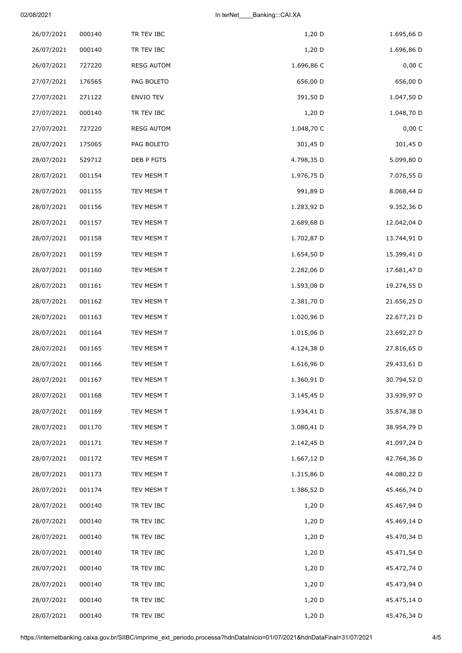|        |                                                |                                                                           | 1.695,66 D                                                                     |
|--------|------------------------------------------------|---------------------------------------------------------------------------|--------------------------------------------------------------------------------|
|        |                                                |                                                                           | 1.696,86 D                                                                     |
|        |                                                |                                                                           | 0,00 C                                                                         |
|        |                                                |                                                                           | 656,00 D                                                                       |
| 271122 | ENVIO TEV                                      |                                                                           | 1.047,50 D                                                                     |
| 000140 | TR TEV IBC                                     | 1,20 D                                                                    | 1.048,70 D                                                                     |
| 727220 | <b>RESG AUTOM</b>                              | 1.048,70 C                                                                | 0,00 C                                                                         |
| 175065 | PAG BOLETO                                     | 301,45 D                                                                  | 301,45 D                                                                       |
| 529712 | DEB P FGTS                                     | 4.798,35 D                                                                | 5.099,80 D                                                                     |
| 001154 | TEV MESM T                                     | 1.976,75 D                                                                | 7.076,55 D                                                                     |
| 001155 | TEV MESM T                                     | 991,89 D                                                                  | 8.068,44 D                                                                     |
| 001156 | TEV MESM T                                     | 1.283,92 D                                                                | 9.352,36 D                                                                     |
| 001157 | TEV MESM T                                     | 2.689,68 D                                                                | 12.042,04 D                                                                    |
| 001158 | TEV MESM T                                     | 1.702,87 D                                                                | 13.744,91 D                                                                    |
| 001159 | TEV MESM T                                     | 1.654,50 D                                                                | 15.399,41 D                                                                    |
| 001160 | TEV MESM T                                     | 2.282,06 D                                                                | 17.681,47 D                                                                    |
| 001161 | TEV MESM T                                     | 1.593,08 D                                                                | 19.274,55 D                                                                    |
| 001162 | TEV MESM T                                     | 2.381,70 D                                                                | 21.656,25 D                                                                    |
| 001163 | TEV MESM T                                     | 1.020,96 D                                                                | 22.677,21 D                                                                    |
| 001164 | TEV MESM T                                     | 1.015,06 D                                                                | 23.692,27 D                                                                    |
| 001165 | TEV MESM T                                     | 4.124,38 D                                                                | 27.816,65 D                                                                    |
| 001166 | TEV MESM T                                     | 1.616,96 D                                                                | 29.433,61 D                                                                    |
| 001167 | TEV MESM T                                     | 1.360,91 D                                                                | 30.794,52 D                                                                    |
| 001168 | TEV MESM T                                     | 3.145,45 D                                                                | 33.939,97 D                                                                    |
| 001169 | TEV MESM T                                     | 1.934,41 D                                                                | 35.874,38 D                                                                    |
| 001170 | TEV MESM T                                     | 3.080,41 D                                                                | 38.954,79 D                                                                    |
| 001171 | TEV MESM T                                     | 2.142,45 D                                                                | 41.097,24 D                                                                    |
| 001172 | TEV MESM T                                     | 1.667,12 D                                                                | 42.764,36 D                                                                    |
| 001173 | TEV MESM T                                     | 1.315,86 D                                                                | 44.080,22 D                                                                    |
| 001174 | TEV MESM T                                     | 1.386,52 D                                                                | 45.466,74 D                                                                    |
| 000140 | TR TEV IBC                                     | 1,20 D                                                                    | 45.467,94 D                                                                    |
| 000140 | TR TEV IBC                                     | 1,20 D                                                                    | 45.469,14 D                                                                    |
| 000140 | TR TEV IBC                                     | $1,20$ D                                                                  | 45.470,34 D                                                                    |
| 000140 | TR TEV IBC                                     | 1,20 D                                                                    | 45.471,54 D                                                                    |
| 000140 | TR TEV IBC                                     | $1,20$ D                                                                  | 45.472,74 D                                                                    |
| 000140 | TR TEV IBC                                     |                                                                           | 45.473,94 D                                                                    |
|        |                                                |                                                                           | 45.475,14 D                                                                    |
| 000140 | TR TEV IBC                                     | 1,20 D                                                                    | 45.476,34 D                                                                    |
|        | 000140<br>000140<br>727220<br>176565<br>000140 | TR TEV IBC<br>TR TEV IBC<br><b>RESG AUTOM</b><br>PAG BOLETO<br>TR TEV IBC | $1,20$ D<br>$1,20$ D<br>1.696,86 C<br>656,00 D<br>391,50 D<br>1,20 D<br>1,20 D |